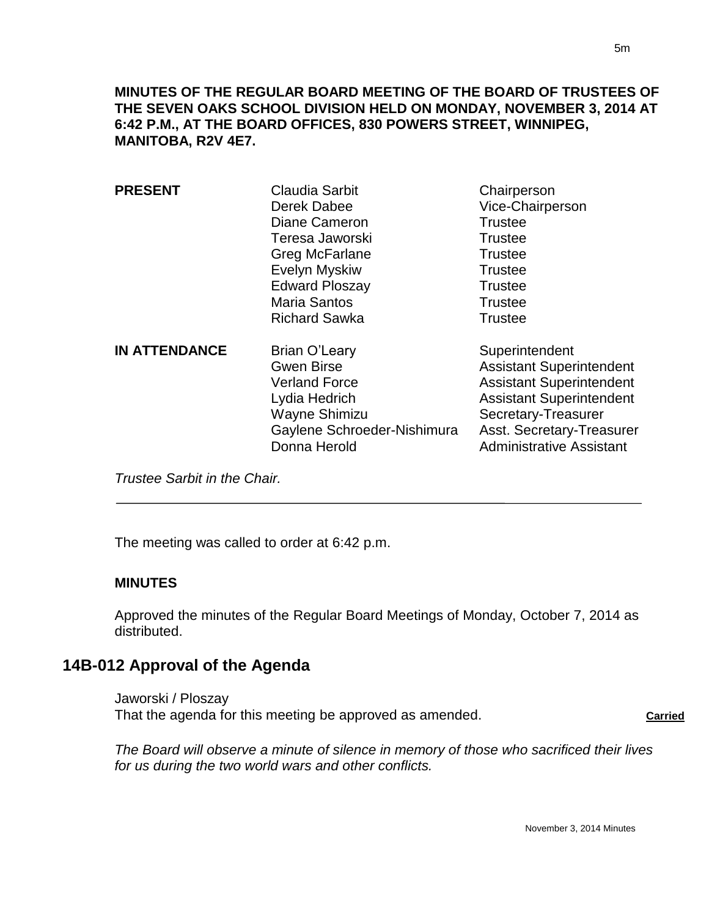**MINUTES OF THE REGULAR BOARD MEETING OF THE BOARD OF TRUSTEES OF THE SEVEN OAKS SCHOOL DIVISION HELD ON MONDAY, NOVEMBER 3, 2014 AT 6:42 P.M., AT THE BOARD OFFICES, 830 POWERS STREET, WINNIPEG, MANITOBA, R2V 4E7.**

| <b>PRESENT</b>       | Claudia Sarbit<br>Derek Dabee<br>Diane Cameron<br>Teresa Jaworski<br>Greg McFarlane<br>Evelyn Myskiw<br><b>Edward Ploszay</b><br><b>Maria Santos</b><br><b>Richard Sawka</b> | Chairperson<br>Vice-Chairperson<br><b>Trustee</b><br><b>Trustee</b><br><b>Trustee</b><br><b>Trustee</b><br><b>Trustee</b><br><b>Trustee</b><br><b>Trustee</b>                                                  |
|----------------------|------------------------------------------------------------------------------------------------------------------------------------------------------------------------------|----------------------------------------------------------------------------------------------------------------------------------------------------------------------------------------------------------------|
| <b>IN ATTENDANCE</b> | Brian O'Leary<br><b>Gwen Birse</b><br><b>Verland Force</b><br>Lydia Hedrich<br><b>Wayne Shimizu</b><br>Gaylene Schroeder-Nishimura<br>Donna Herold                           | Superintendent<br><b>Assistant Superintendent</b><br><b>Assistant Superintendent</b><br><b>Assistant Superintendent</b><br>Secretary-Treasurer<br>Asst. Secretary-Treasurer<br><b>Administrative Assistant</b> |

*Trustee Sarbit in the Chair.* 

The meeting was called to order at 6:42 p.m.

### **MINUTES**

 $\overline{a}$ 

Approved the minutes of the Regular Board Meetings of Monday, October 7, 2014 as distributed.

# **14B-012 Approval of the Agenda**

Jaworski / Ploszay That the agenda for this meeting be approved as amended. **Carried Carried** 

*The Board will observe a minute of silence in memory of those who sacrificed their lives for us during the two world wars and other conflicts.*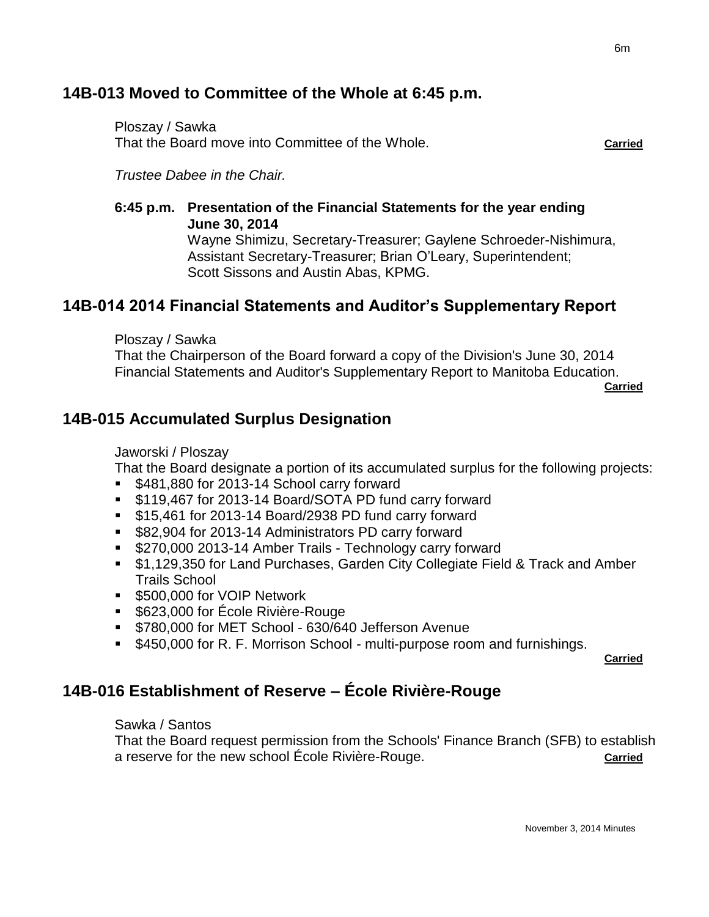# **14B-013 Moved to Committee of the Whole at 6:45 p.m.**

Ploszay / Sawka That the Board move into Committee of the Whole. **Carried**

*Trustee Dabee in the Chair.*

**6:45 p.m. Presentation of the Financial Statements for the year ending June 30, 2014** Wayne Shimizu, Secretary-Treasurer; Gaylene Schroeder-Nishimura, Assistant Secretary-Treasurer; Brian O'Leary, Superintendent;

Scott Sissons and Austin Abas, KPMG.

# **14B-014 2014 Financial Statements and Auditor's Supplementary Report**

Ploszay / Sawka

That the Chairperson of the Board forward a copy of the Division's June 30, 2014 Financial Statements and Auditor's Supplementary Report to Manitoba Education.

**Carried**

# **14B-015 Accumulated Surplus Designation**

#### Jaworski / Ploszay

That the Board designate a portion of its accumulated surplus for the following projects:

- **\$481,880 for 2013-14 School carry forward**
- **S119,467 for 2013-14 Board/SOTA PD fund carry forward**
- **515,461 for 2013-14 Board/2938 PD fund carry forward**
- **582,904 for 2013-14 Administrators PD carry forward**
- **5270,000 2013-14 Amber Trails Technology carry forward**
- \$1,129,350 for Land Purchases, Garden City Collegiate Field & Track and Amber Trails School
- **5500,000 for VOIP Network**
- **5623,000 for École Rivière-Rouge**
- **\$780,000 for MET School 630/640 Jefferson Avenue**
- **5450,000 for R. F. Morrison School multi-purpose room and furnishings.**

**Carried**

# **14B-016 Establishment of Reserve – École Rivière-Rouge**

Sawka / Santos

That the Board request permission from the Schools' Finance Branch (SFB) to establish a reserve for the new school École Rivière-Rouge. **Carried**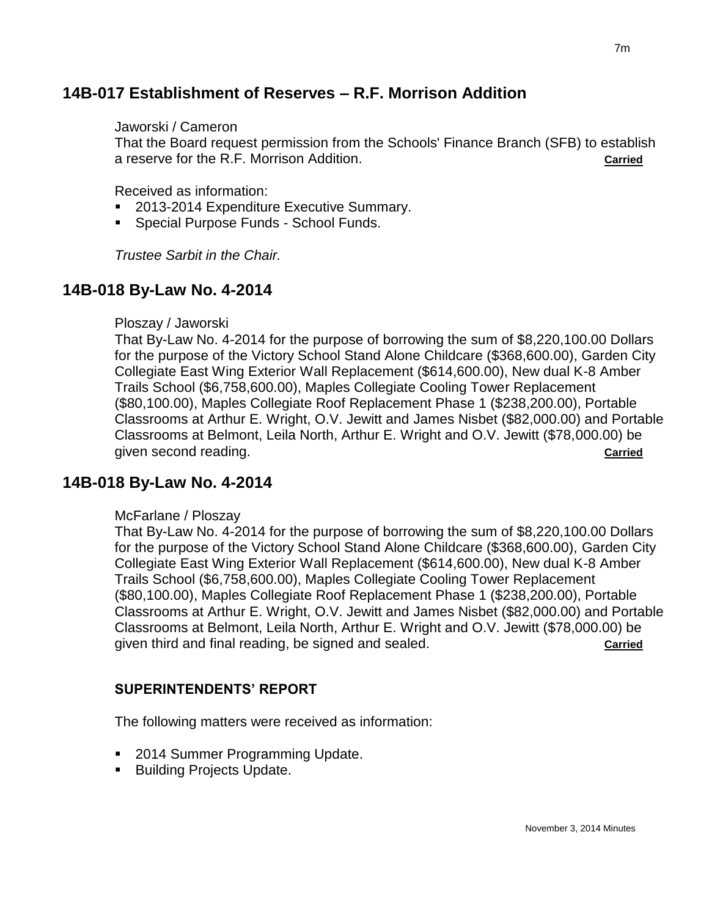# **14B-017 Establishment of Reserves – R.F. Morrison Addition**

#### Jaworski / Cameron

That the Board request permission from the Schools' Finance Branch (SFB) to establish a reserve for the R.F. Morrison Addition. **Carried**

Received as information:

- 2013-2014 Expenditure Executive Summary.
- **Special Purpose Funds School Funds.**

*Trustee Sarbit in the Chair.*

# **14B-018 By-Law No. 4-2014**

#### Ploszay / Jaworski

That By-Law No. 4-2014 for the purpose of borrowing the sum of \$8,220,100.00 Dollars for the purpose of the Victory School Stand Alone Childcare (\$368,600.00), Garden City Collegiate East Wing Exterior Wall Replacement (\$614,600.00), New dual K-8 Amber Trails School (\$6,758,600.00), Maples Collegiate Cooling Tower Replacement (\$80,100.00), Maples Collegiate Roof Replacement Phase 1 (\$238,200.00), Portable Classrooms at Arthur E. Wright, O.V. Jewitt and James Nisbet (\$82,000.00) and Portable Classrooms at Belmont, Leila North, Arthur E. Wright and O.V. Jewitt (\$78,000.00) be given second reading. **Carried**

# **14B-018 By-Law No. 4-2014**

#### McFarlane / Ploszay

That By-Law No. 4-2014 for the purpose of borrowing the sum of \$8,220,100.00 Dollars for the purpose of the Victory School Stand Alone Childcare (\$368,600.00), Garden City Collegiate East Wing Exterior Wall Replacement (\$614,600.00), New dual K-8 Amber Trails School (\$6,758,600.00), Maples Collegiate Cooling Tower Replacement (\$80,100.00), Maples Collegiate Roof Replacement Phase 1 (\$238,200.00), Portable Classrooms at Arthur E. Wright, O.V. Jewitt and James Nisbet (\$82,000.00) and Portable Classrooms at Belmont, Leila North, Arthur E. Wright and O.V. Jewitt (\$78,000.00) be given third and final reading, be signed and sealed. **Carried**

#### **SUPERINTENDENTS' REPORT**

The following matters were received as information:

- 2014 Summer Programming Update.
- **Building Projects Update.**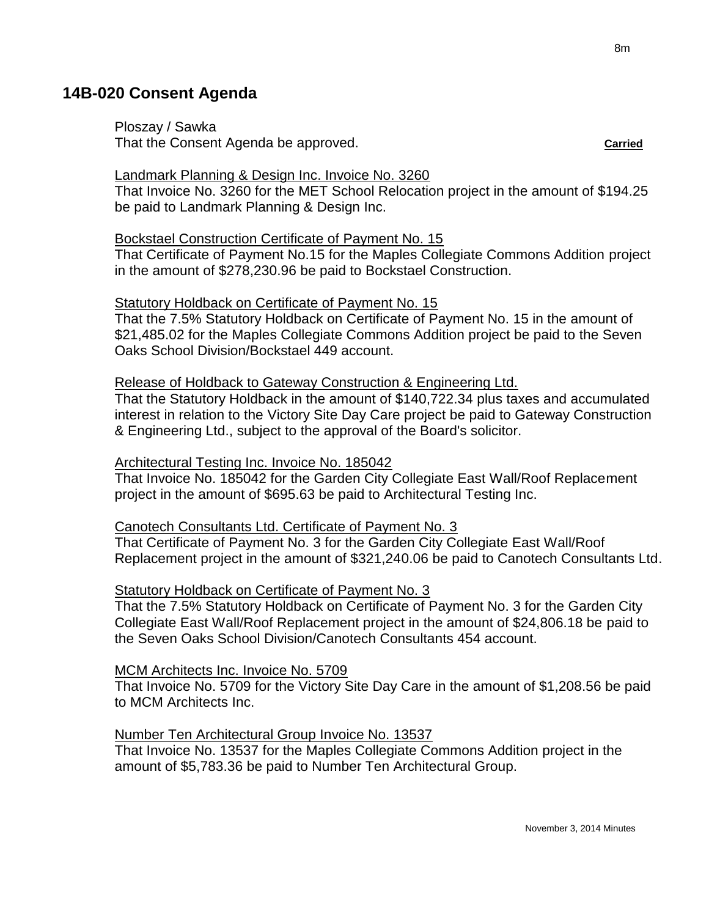# **14B-020 Consent Agenda**

Ploszay / Sawka That the Consent Agenda be approved. **Carried**

#### Landmark Planning & Design Inc. Invoice No. 3260

That Invoice No. 3260 for the MET School Relocation project in the amount of \$194.25 be paid to Landmark Planning & Design Inc.

#### Bockstael Construction Certificate of Payment No. 15

That Certificate of Payment No.15 for the Maples Collegiate Commons Addition project in the amount of \$278,230.96 be paid to Bockstael Construction.

#### Statutory Holdback on Certificate of Payment No. 15

That the 7.5% Statutory Holdback on Certificate of Payment No. 15 in the amount of \$21,485.02 for the Maples Collegiate Commons Addition project be paid to the Seven Oaks School Division/Bockstael 449 account.

#### Release of Holdback to Gateway Construction & Engineering Ltd.

That the Statutory Holdback in the amount of \$140,722.34 plus taxes and accumulated interest in relation to the Victory Site Day Care project be paid to Gateway Construction & Engineering Ltd., subject to the approval of the Board's solicitor.

#### Architectural Testing Inc. Invoice No. 185042

That Invoice No. 185042 for the Garden City Collegiate East Wall/Roof Replacement project in the amount of \$695.63 be paid to Architectural Testing Inc.

#### Canotech Consultants Ltd. Certificate of Payment No. 3

That Certificate of Payment No. 3 for the Garden City Collegiate East Wall/Roof Replacement project in the amount of \$321,240.06 be paid to Canotech Consultants Ltd.

#### Statutory Holdback on Certificate of Payment No. 3

That the 7.5% Statutory Holdback on Certificate of Payment No. 3 for the Garden City Collegiate East Wall/Roof Replacement project in the amount of \$24,806.18 be paid to the Seven Oaks School Division/Canotech Consultants 454 account.

#### MCM Architects Inc. Invoice No. 5709

That Invoice No. 5709 for the Victory Site Day Care in the amount of \$1,208.56 be paid to MCM Architects Inc.

#### Number Ten Architectural Group Invoice No. 13537

That Invoice No. 13537 for the Maples Collegiate Commons Addition project in the amount of \$5,783.36 be paid to Number Ten Architectural Group.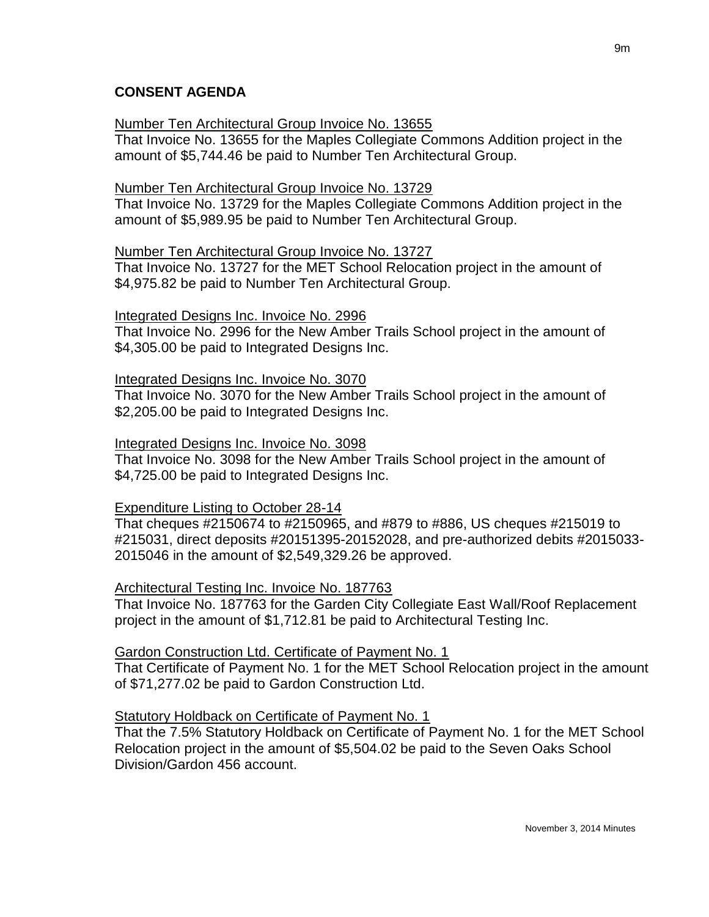### **CONSENT AGENDA**

#### Number Ten Architectural Group Invoice No. 13655

That Invoice No. 13655 for the Maples Collegiate Commons Addition project in the amount of \$5,744.46 be paid to Number Ten Architectural Group.

#### Number Ten Architectural Group Invoice No. 13729

That Invoice No. 13729 for the Maples Collegiate Commons Addition project in the amount of \$5,989.95 be paid to Number Ten Architectural Group.

#### Number Ten Architectural Group Invoice No. 13727

That Invoice No. 13727 for the MET School Relocation project in the amount of \$4,975.82 be paid to Number Ten Architectural Group.

#### Integrated Designs Inc. Invoice No. 2996

That Invoice No. 2996 for the New Amber Trails School project in the amount of \$4,305.00 be paid to Integrated Designs Inc.

#### Integrated Designs Inc. Invoice No. 3070

That Invoice No. 3070 for the New Amber Trails School project in the amount of \$2,205.00 be paid to Integrated Designs Inc.

#### Integrated Designs Inc. Invoice No. 3098

That Invoice No. 3098 for the New Amber Trails School project in the amount of \$4,725.00 be paid to Integrated Designs Inc.

#### Expenditure Listing to October 28-14

That cheques #2150674 to #2150965, and #879 to #886, US cheques #215019 to #215031, direct deposits #20151395-20152028, and pre-authorized debits #2015033- 2015046 in the amount of \$2,549,329.26 be approved.

#### Architectural Testing Inc. Invoice No. 187763

That Invoice No. 187763 for the Garden City Collegiate East Wall/Roof Replacement project in the amount of \$1,712.81 be paid to Architectural Testing Inc.

#### Gardon Construction Ltd. Certificate of Payment No. 1

That Certificate of Payment No. 1 for the MET School Relocation project in the amount of \$71,277.02 be paid to Gardon Construction Ltd.

#### Statutory Holdback on Certificate of Payment No. 1

That the 7.5% Statutory Holdback on Certificate of Payment No. 1 for the MET School Relocation project in the amount of \$5,504.02 be paid to the Seven Oaks School Division/Gardon 456 account.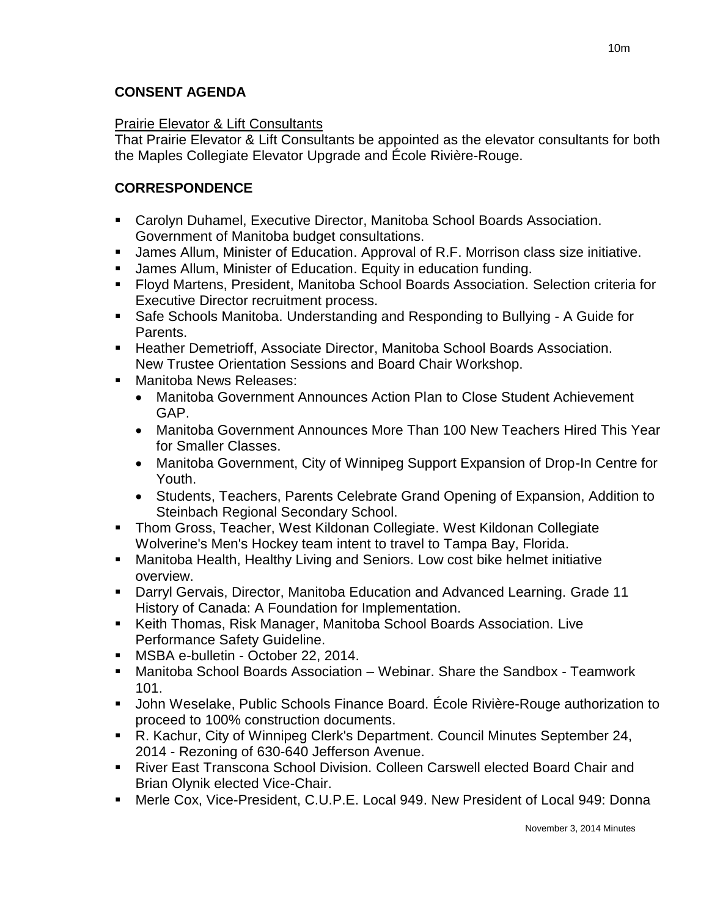# **CONSENT AGENDA**

## Prairie Elevator & Lift Consultants

That Prairie Elevator & Lift Consultants be appointed as the elevator consultants for both the Maples Collegiate Elevator Upgrade and École Rivière-Rouge.

# **CORRESPONDENCE**

- Carolyn Duhamel, Executive Director, Manitoba School Boards Association. Government of Manitoba budget consultations.
- James Allum, Minister of Education. Approval of R.F. Morrison class size initiative.
- James Allum, Minister of Education. Equity in education funding.
- Floyd Martens, President, Manitoba School Boards Association. Selection criteria for Executive Director recruitment process.
- Safe Schools Manitoba. Understanding and Responding to Bullying A Guide for Parents.
- Heather Demetrioff, Associate Director, Manitoba School Boards Association. New Trustee Orientation Sessions and Board Chair Workshop.
- Manitoba News Releases:
	- Manitoba Government Announces Action Plan to Close Student Achievement GAP.
	- Manitoba Government Announces More Than 100 New Teachers Hired This Year for Smaller Classes.
	- Manitoba Government, City of Winnipeg Support Expansion of Drop-In Centre for Youth.
	- Students, Teachers, Parents Celebrate Grand Opening of Expansion, Addition to Steinbach Regional Secondary School.
- Thom Gross, Teacher, West Kildonan Collegiate. West Kildonan Collegiate Wolverine's Men's Hockey team intent to travel to Tampa Bay, Florida.
- Manitoba Health, Healthy Living and Seniors. Low cost bike helmet initiative overview.
- Darryl Gervais, Director, Manitoba Education and Advanced Learning. Grade 11 History of Canada: A Foundation for Implementation.
- Keith Thomas, Risk Manager, Manitoba School Boards Association. Live Performance Safety Guideline.
- **MSBA e-bulletin October 22, 2014.**
- Manitoba School Boards Association Webinar. Share the Sandbox Teamwork 101.
- John Weselake, Public Schools Finance Board. École Rivière-Rouge authorization to proceed to 100% construction documents.
- R. Kachur, City of Winnipeg Clerk's Department. Council Minutes September 24, 2014 - Rezoning of 630-640 Jefferson Avenue.
- River East Transcona School Division. Colleen Carswell elected Board Chair and Brian Olynik elected Vice-Chair.
- Merle Cox, Vice-President, C.U.P.E. Local 949. New President of Local 949: Donna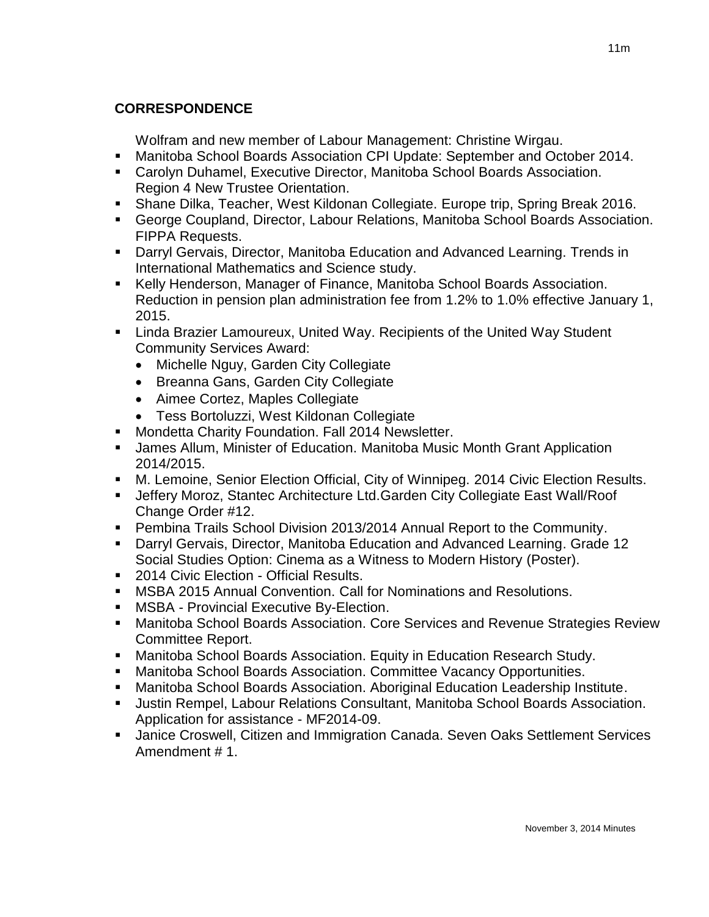# **CORRESPONDENCE**

Wolfram and new member of Labour Management: Christine Wirgau.

- Manitoba School Boards Association CPI Update: September and October 2014.
- Carolyn Duhamel, Executive Director, Manitoba School Boards Association. Region 4 New Trustee Orientation.
- Shane Dilka, Teacher, West Kildonan Collegiate. Europe trip, Spring Break 2016.
- George Coupland, Director, Labour Relations, Manitoba School Boards Association. FIPPA Requests.
- Darryl Gervais, Director, Manitoba Education and Advanced Learning. Trends in International Mathematics and Science study.
- Kelly Henderson, Manager of Finance, Manitoba School Boards Association. Reduction in pension plan administration fee from 1.2% to 1.0% effective January 1, 2015.
- Linda Brazier Lamoureux, United Way. Recipients of the United Way Student Community Services Award:
	- Michelle Nguy, Garden City Collegiate
	- Breanna Gans, Garden City Collegiate
	- Aimee Cortez, Maples Collegiate
	- Tess Bortoluzzi, West Kildonan Collegiate
- **Mondetta Charity Foundation. Fall 2014 Newsletter.**
- James Allum, Minister of Education. Manitoba Music Month Grant Application 2014/2015.
- M. Lemoine, Senior Election Official, City of Winnipeg. 2014 Civic Election Results.
- Jeffery Moroz, Stantec Architecture Ltd.Garden City Collegiate East Wall/Roof Change Order #12.
- Pembina Trails School Division 2013/2014 Annual Report to the Community.
- Darryl Gervais, Director, Manitoba Education and Advanced Learning. Grade 12 Social Studies Option: Cinema as a Witness to Modern History (Poster).
- **2014 Civic Election Official Results.**
- MSBA 2015 Annual Convention. Call for Nominations and Resolutions.
- **MSBA Provincial Executive By-Election.**
- Manitoba School Boards Association. Core Services and Revenue Strategies Review Committee Report.
- Manitoba School Boards Association. Equity in Education Research Study.
- Manitoba School Boards Association. Committee Vacancy Opportunities.
- Manitoba School Boards Association. Aboriginal Education Leadership Institute.
- Justin Rempel, Labour Relations Consultant, Manitoba School Boards Association. Application for assistance - MF2014-09.
- Janice Croswell, Citizen and Immigration Canada. Seven Oaks Settlement Services Amendment # 1.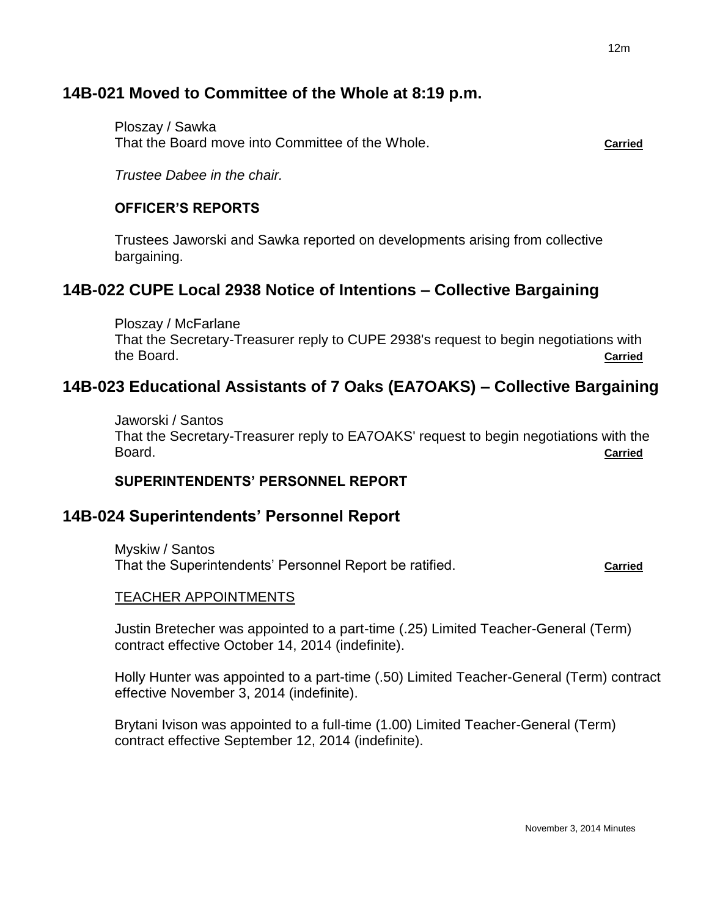# **14B-021 Moved to Committee of the Whole at 8:19 p.m.**

Ploszay / Sawka That the Board move into Committee of the Whole. **Carried**

*Trustee Dabee in the chair.*

# **OFFICER'S REPORTS**

Trustees Jaworski and Sawka reported on developments arising from collective bargaining.

# **14B-022 CUPE Local 2938 Notice of Intentions – Collective Bargaining**

Ploszay / McFarlane That the Secretary-Treasurer reply to CUPE 2938's request to begin negotiations with the Board. **Carried**

# **14B-023 Educational Assistants of 7 Oaks (EA7OAKS) – Collective Bargaining**

Jaworski / Santos That the Secretary-Treasurer reply to EA7OAKS' request to begin negotiations with the Board. **Carried**

# **SUPERINTENDENTS' PERSONNEL REPORT**

# **14B-024 Superintendents' Personnel Report**

Myskiw / Santos That the Superintendents' Personnel Report be ratified. **Carried** 

### TEACHER APPOINTMENTS

Justin Bretecher was appointed to a part-time (.25) Limited Teacher-General (Term) contract effective October 14, 2014 (indefinite).

Holly Hunter was appointed to a part-time (.50) Limited Teacher-General (Term) contract effective November 3, 2014 (indefinite).

Brytani Ivison was appointed to a full-time (1.00) Limited Teacher-General (Term) contract effective September 12, 2014 (indefinite).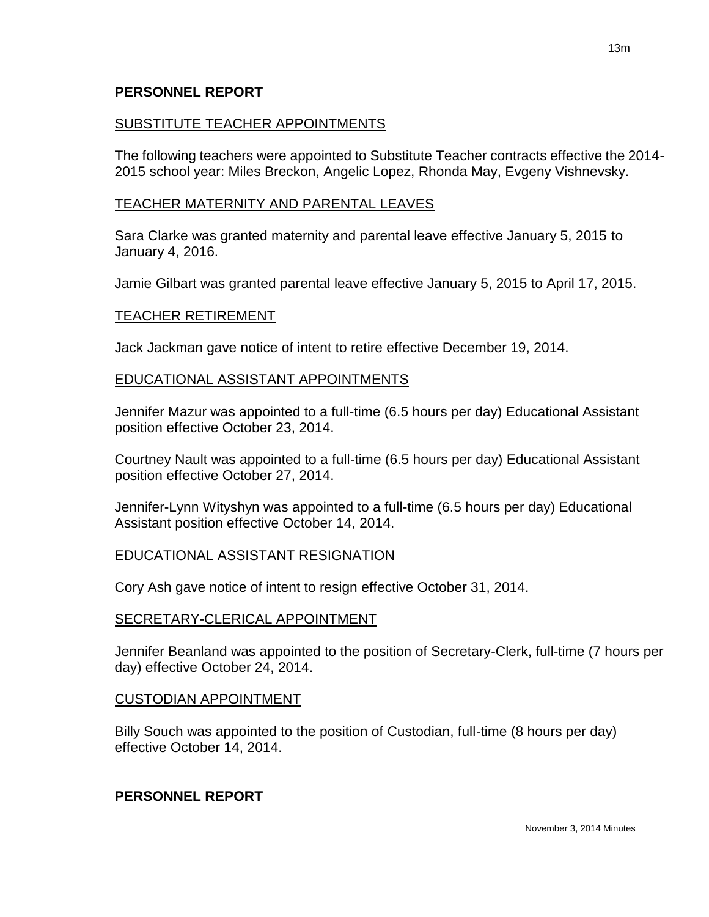### **PERSONNEL REPORT**

# SUBSTITUTE TEACHER APPOINTMENTS

The following teachers were appointed to Substitute Teacher contracts effective the 2014- 2015 school year: Miles Breckon, Angelic Lopez, Rhonda May, Evgeny Vishnevsky.

## TEACHER MATERNITY AND PARENTAL LEAVES

Sara Clarke was granted maternity and parental leave effective January 5, 2015 to January 4, 2016.

Jamie Gilbart was granted parental leave effective January 5, 2015 to April 17, 2015.

### TEACHER RETIREMENT

Jack Jackman gave notice of intent to retire effective December 19, 2014.

### EDUCATIONAL ASSISTANT APPOINTMENTS

Jennifer Mazur was appointed to a full-time (6.5 hours per day) Educational Assistant position effective October 23, 2014.

Courtney Nault was appointed to a full-time (6.5 hours per day) Educational Assistant position effective October 27, 2014.

Jennifer-Lynn Wityshyn was appointed to a full-time (6.5 hours per day) Educational Assistant position effective October 14, 2014.

### EDUCATIONAL ASSISTANT RESIGNATION

Cory Ash gave notice of intent to resign effective October 31, 2014.

# SECRETARY-CLERICAL APPOINTMENT

Jennifer Beanland was appointed to the position of Secretary-Clerk, full-time (7 hours per day) effective October 24, 2014.

# CUSTODIAN APPOINTMENT

Billy Souch was appointed to the position of Custodian, full-time (8 hours per day) effective October 14, 2014.

# **PERSONNEL REPORT**